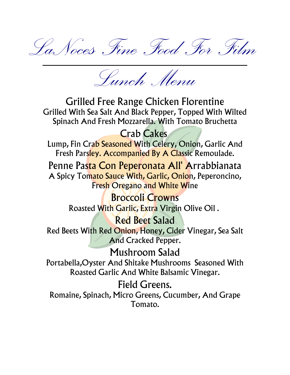LaNoces Fine Food For Film

Lunch Menu

Grilled Free Range Chicken Florentine Grilled With Sea Salt And Black Pepper, Topped With Wilted Spinach And Fresh Mozzarella. With Tomato Bruchetta

Crab Cakes

Lump, Fin Crab Seasoned With Celery, Onion, Garlic And Fresh Parsley. Accompanied By A Classic Remoulade.

Penne Pasta Con Peperonata All' Arrabbianata A Spicy Tomato Sauce With, Garlic, Onion, Peperoncino, Fresh Oregano and White Wine

> Broccoli Crowns Roasted With Garlic, Extra Virgin Olive Oil .

Red Beet Salad Red Beets With Red Onion, Honey, Cider Vinegar, Sea Salt And Cracked Pepper.

Mushroom Salad Portabella,Oyster And Shitake Mushrooms Seasoned With Roasted Garlic And White Balsamic Vinegar.

Field Greens. Romaine, Spinach, Micro Greens, Cucumber, And Grape Tomato.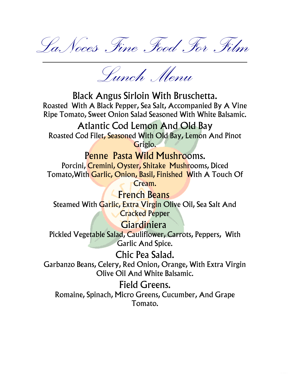LaNoces Fine Food For Film

Lunch Menu

Black Angus Sirloin With Bruschetta. Roasted With A Black Pepper, Sea Salt, Accompanied By A Vine Ripe Tomato, Sweet Onion Salad Seasoned With White Balsamic.

Atlantic Cod Lemon And Old Bay Roasted Cod Filet, Seasoned With Old Bay, Lemon And Pinot Grigio.

Penne Pasta Wild Mushrooms. Porcini, Cremini, Oyster, Shitake Mushrooms, Diced

Tomato,With Garlic, Onion, Basil, Finished With A Touch Of Cream.

**French Beans** Steamed With Garlic, Extra Virgin Olive Oil, Sea Salt And **Cracked Pepper** 

Giardiniera

Pickled Vegetable Salad, Cauliflower, Carrots, Peppers, With Garlic And Spice.

Chic Pea Salad. Garbanzo Beans, Celery, Red Onion, Orange, With Extra Virgin Olive Oil And White Balsamic.

Field Greens. Romaine, Spinach, Micro Greens, Cucumber, And Grape Tomato.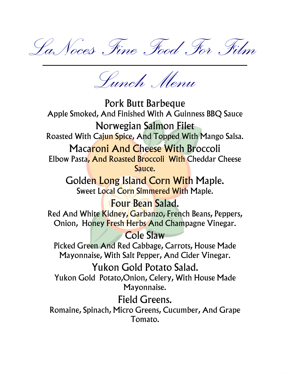LaNoces Fine Food For Film

Lunch Menu

Pork Butt Barbeque Apple Smoked, And Finished With A Guinness BBQ Sauce Norwegian Salmon Filet Roasted With Cajun Spice, And Topped With Mango Salsa. Macaroni And Cheese With Broccoli Elbow Pasta, And Roasted Broccoli With Cheddar Cheese Sauce. Golden Long Island Corn With Maple. Sweet Local Corn Simmered With Maple. Four Bean Salad. Red And White Kidney, Garbanzo, French Beans, Peppers, Onion, Honey Fresh Herbs And Champagne Vinegar. Cole Slaw Picked Green And Red Cabbage, Carrots, House Made Mayonnaise, With Salt Pepper, And Cider Vinegar. Yukon Gold Potato Salad. Yukon Gold Potato,Onion, Celery, With House Made Mayonnaise. Field Greens. Romaine, Spinach, Micro Greens, Cucumber, And Grape

Tomato.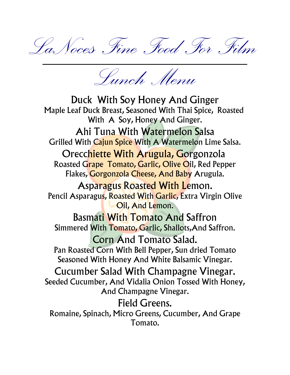LaNoces Fine Food For Film

Lunch Menu

Duck With Soy Honey And Ginger Maple Leaf Duck Breast, Seasoned With Thai Spice, Roasted With A Soy, Honey And Ginger. Ahi Tuna With Watermelon Salsa Grilled With Cajun Spice With A Watermelon Lime Salsa. Orecchiette With Arugula, Gorgonzola Roasted Grape Tomato, Garlic, Olive Oil, Red Pepper Flakes, Gorgonzola Cheese, And Baby Arugula. Asparagus Roasted With Lemon. Pencil Asparagus, Roasted With Garlic, Extra Virgin Olive Oil, And Lemon. Basmati With Tomato And Saffron Simmered With Tomato, Garlic, Shallots,And Saffron. Corn And Tomato Salad. Pan Roasted Corn With Bell Pepper, Sun dried Tomato Seasoned With Honey And White Balsamic Vinegar. Cucumber Salad With Champagne Vinegar. Seeded Cucumber, And Vidalia Onion Tossed With Honey, And Champagne Vinegar. Field Greens. Romaine, Spinach, Micro Greens, Cucumber, And Grape Tomato.